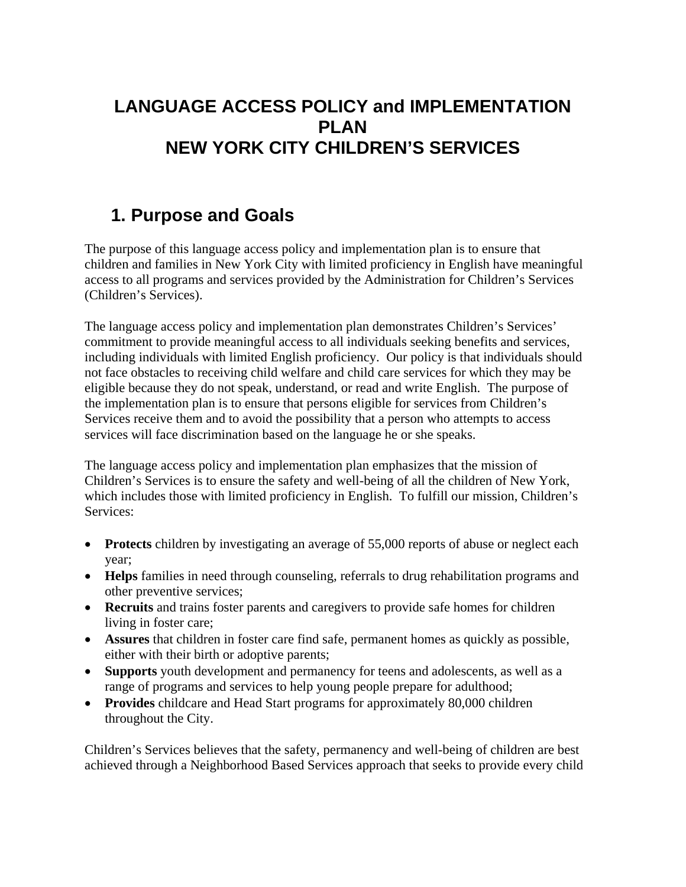# **LANGUAGE ACCESS POLICY and IMPLEMENTATION PLAN NEW YORK CITY CHILDREN'S SERVICES**

# **1. Purpose and Goals**

The purpose of this language access policy and implementation plan is to ensure that children and families in New York City with limited proficiency in English have meaningful access to all programs and services provided by the Administration for Children's Services (Children's Services).

The language access policy and implementation plan demonstrates Children's Services' commitment to provide meaningful access to all individuals seeking benefits and services, including individuals with limited English proficiency. Our policy is that individuals should not face obstacles to receiving child welfare and child care services for which they may be eligible because they do not speak, understand, or read and write English. The purpose of the implementation plan is to ensure that persons eligible for services from Children's Services receive them and to avoid the possibility that a person who attempts to access services will face discrimination based on the language he or she speaks.

The language access policy and implementation plan emphasizes that the mission of Children's Services is to ensure the safety and well-being of all the children of New York, which includes those with limited proficiency in English. To fulfill our mission, Children's Services:

- **Protects** children by investigating an average of 55,000 reports of abuse or neglect each year;
- **Helps** families in need through counseling, referrals to drug rehabilitation programs and other preventive services;
- **Recruits** and trains foster parents and caregivers to provide safe homes for children living in foster care;
- **Assures** that children in foster care find safe, permanent homes as quickly as possible, either with their birth or adoptive parents;
- **Supports** youth development and permanency for teens and adolescents, as well as a range of programs and services to help young people prepare for adulthood;
- **Provides** childcare and Head Start programs for approximately 80,000 children throughout the City.

Children's Services believes that the safety, permanency and well-being of children are best achieved through a Neighborhood Based Services approach that seeks to provide every child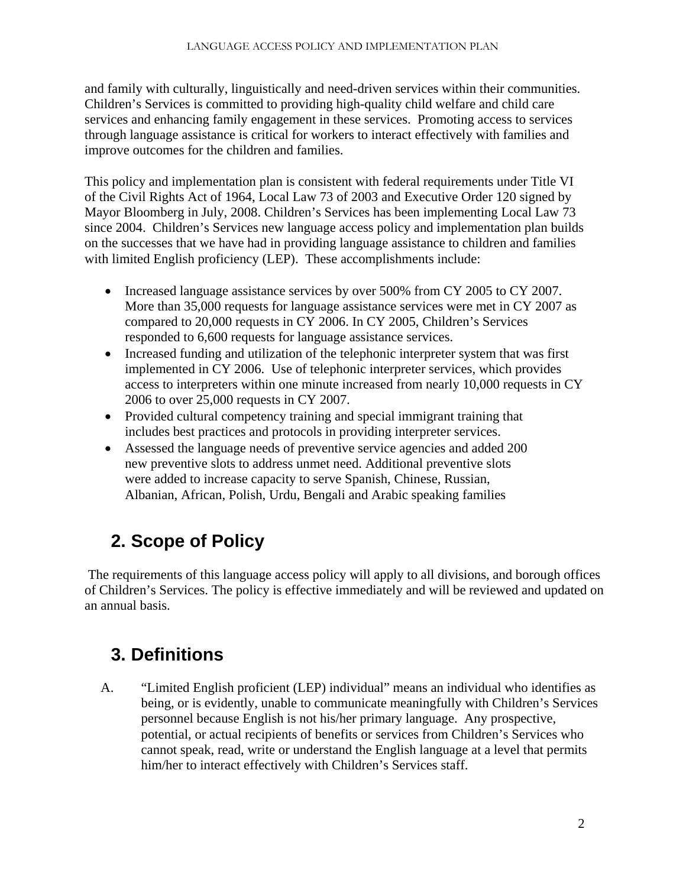and family with culturally, linguistically and need-driven services within their communities. Children's Services is committed to providing high-quality child welfare and child care services and enhancing family engagement in these services. Promoting access to services through language assistance is critical for workers to interact effectively with families and improve outcomes for the children and families.

This policy and implementation plan is consistent with federal requirements under Title VI of the Civil Rights Act of 1964, Local Law 73 of 2003 and Executive Order 120 signed by Mayor Bloomberg in July, 2008. Children's Services has been implementing Local Law 73 since 2004. Children's Services new language access policy and implementation plan builds on the successes that we have had in providing language assistance to children and families with limited English proficiency (LEP). These accomplishments include:

- Increased language assistance services by over 500% from CY 2005 to CY 2007. More than 35,000 requests for language assistance services were met in CY 2007 as compared to 20,000 requests in CY 2006. In CY 2005, Children's Services responded to 6,600 requests for language assistance services.
- Increased funding and utilization of the telephonic interpreter system that was first implemented in CY 2006. Use of telephonic interpreter services, which provides access to interpreters within one minute increased from nearly 10,000 requests in CY 2006 to over 25,000 requests in CY 2007.
- Provided cultural competency training and special immigrant training that includes best practices and protocols in providing interpreter services.
- Assessed the language needs of preventive service agencies and added 200 new preventive slots to address unmet need. Additional preventive slots were added to increase capacity to serve Spanish, Chinese, Russian, Albanian, African, Polish, Urdu, Bengali and Arabic speaking families

# **2. Scope of Policy**

 The requirements of this language access policy will apply to all divisions, and borough offices of Children's Services. The policy is effective immediately and will be reviewed and updated on an annual basis.

# **3. Definitions**

A. "Limited English proficient (LEP) individual" means an individual who identifies as being, or is evidently, unable to communicate meaningfully with Children's Services personnel because English is not his/her primary language. Any prospective, potential, or actual recipients of benefits or services from Children's Services who cannot speak, read, write or understand the English language at a level that permits him/her to interact effectively with Children's Services staff.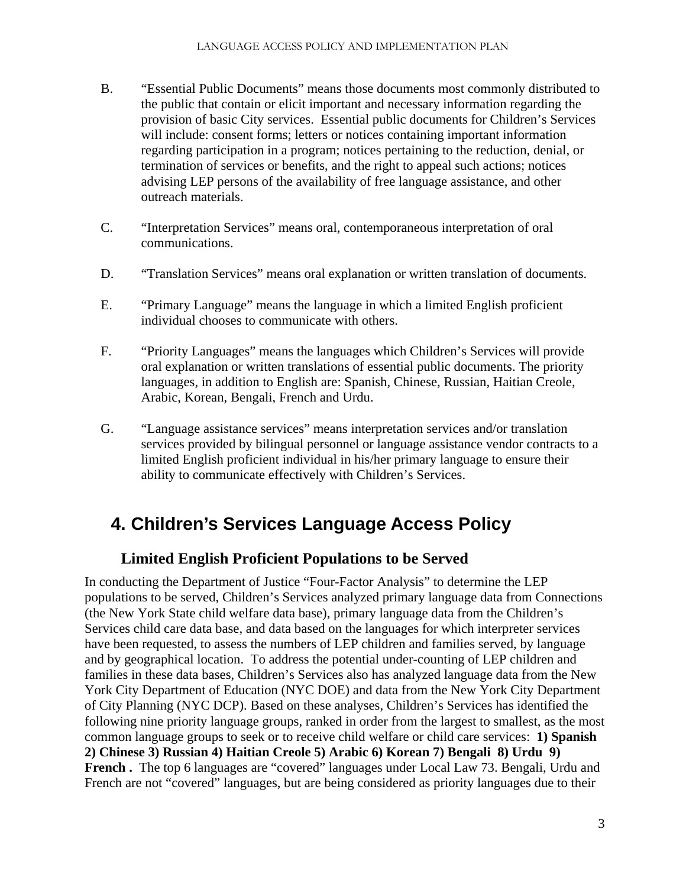- B. "Essential Public Documents" means those documents most commonly distributed to the public that contain or elicit important and necessary information regarding the provision of basic City services. Essential public documents for Children's Services will include: consent forms; letters or notices containing important information regarding participation in a program; notices pertaining to the reduction, denial, or termination of services or benefits, and the right to appeal such actions; notices advising LEP persons of the availability of free language assistance, and other outreach materials.
- C. "Interpretation Services" means oral, contemporaneous interpretation of oral communications.
- D. "Translation Services" means oral explanation or written translation of documents.
- E. "Primary Language" means the language in which a limited English proficient individual chooses to communicate with others.
- F. "Priority Languages" means the languages which Children's Services will provide oral explanation or written translations of essential public documents. The priority languages, in addition to English are: Spanish, Chinese, Russian, Haitian Creole, Arabic, Korean, Bengali, French and Urdu.
- G. "Language assistance services" means interpretation services and/or translation services provided by bilingual personnel or language assistance vendor contracts to a limited English proficient individual in his/her primary language to ensure their ability to communicate effectively with Children's Services.

# **4. Children's Services Language Access Policy**

## **Limited English Proficient Populations to be Served**

In conducting the Department of Justice "Four-Factor Analysis" to determine the LEP populations to be served, Children's Services analyzed primary language data from Connections (the New York State child welfare data base), primary language data from the Children's Services child care data base, and data based on the languages for which interpreter services have been requested, to assess the numbers of LEP children and families served, by language and by geographical location. To address the potential under-counting of LEP children and families in these data bases, Children's Services also has analyzed language data from the New York City Department of Education (NYC DOE) and data from the New York City Department of City Planning (NYC DCP). Based on these analyses, Children's Services has identified the following nine priority language groups, ranked in order from the largest to smallest, as the most common language groups to seek or to receive child welfare or child care services: **1) Spanish 2) Chinese 3) Russian 4) Haitian Creole 5) Arabic 6) Korean 7) Bengali 8) Urdu 9)**  French. The top 6 languages are "covered" languages under Local Law 73. Bengali, Urdu and French are not "covered" languages, but are being considered as priority languages due to their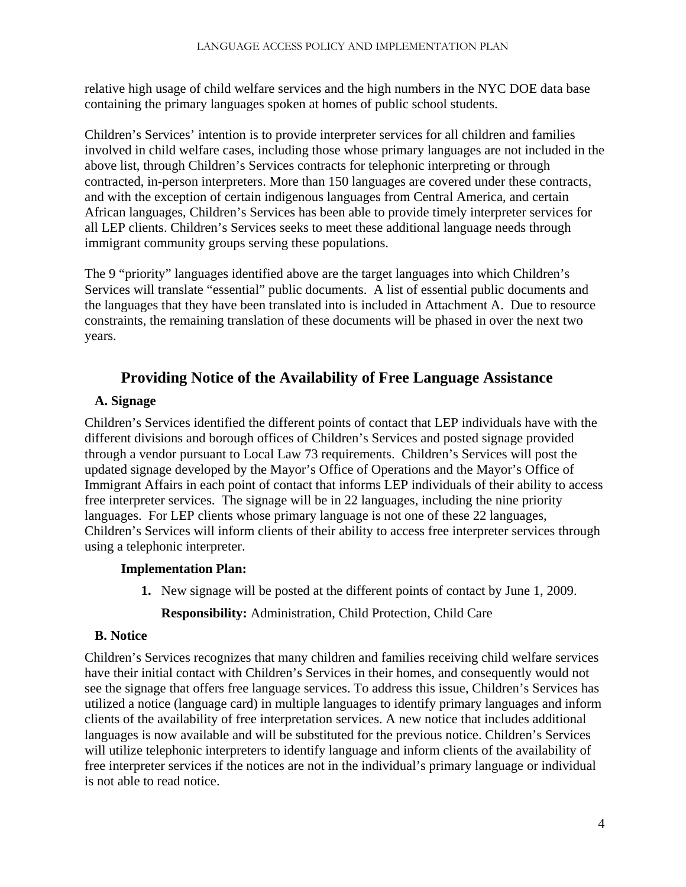relative high usage of child welfare services and the high numbers in the NYC DOE data base containing the primary languages spoken at homes of public school students.

Children's Services' intention is to provide interpreter services for all children and families involved in child welfare cases, including those whose primary languages are not included in the above list, through Children's Services contracts for telephonic interpreting or through contracted, in-person interpreters. More than 150 languages are covered under these contracts, and with the exception of certain indigenous languages from Central America, and certain African languages, Children's Services has been able to provide timely interpreter services for all LEP clients. Children's Services seeks to meet these additional language needs through immigrant community groups serving these populations.

The 9 "priority" languages identified above are the target languages into which Children's Services will translate "essential" public documents. A list of essential public documents and the languages that they have been translated into is included in Attachment A. Due to resource constraints, the remaining translation of these documents will be phased in over the next two years.

## **Providing Notice of the Availability of Free Language Assistance**

## **A. Signage**

Children's Services identified the different points of contact that LEP individuals have with the different divisions and borough offices of Children's Services and posted signage provided through a vendor pursuant to Local Law 73 requirements. Children's Services will post the updated signage developed by the Mayor's Office of Operations and the Mayor's Office of Immigrant Affairs in each point of contact that informs LEP individuals of their ability to access free interpreter services. The signage will be in 22 languages, including the nine priority languages. For LEP clients whose primary language is not one of these 22 languages, Children's Services will inform clients of their ability to access free interpreter services through using a telephonic interpreter.

## **Implementation Plan:**

**1.** New signage will be posted at the different points of contact by June 1, 2009. **Responsibility:** Administration, Child Protection, Child Care

## **B. Notice**

Children's Services recognizes that many children and families receiving child welfare services have their initial contact with Children's Services in their homes, and consequently would not see the signage that offers free language services. To address this issue, Children's Services has utilized a notice (language card) in multiple languages to identify primary languages and inform clients of the availability of free interpretation services. A new notice that includes additional languages is now available and will be substituted for the previous notice. Children's Services will utilize telephonic interpreters to identify language and inform clients of the availability of free interpreter services if the notices are not in the individual's primary language or individual is not able to read notice.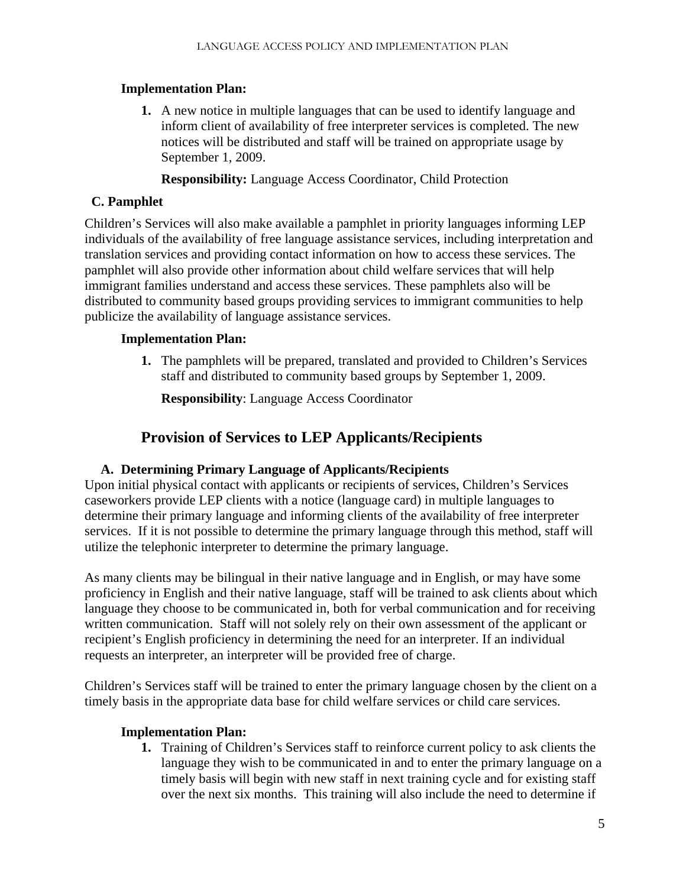**1.** A new notice in multiple languages that can be used to identify language and inform client of availability of free interpreter services is completed. The new notices will be distributed and staff will be trained on appropriate usage by September 1, 2009.

**Responsibility:** Language Access Coordinator, Child Protection

## **C. Pamphlet**

Children's Services will also make available a pamphlet in priority languages informing LEP individuals of the availability of free language assistance services, including interpretation and translation services and providing contact information on how to access these services. The pamphlet will also provide other information about child welfare services that will help immigrant families understand and access these services. These pamphlets also will be distributed to community based groups providing services to immigrant communities to help publicize the availability of language assistance services.

## **Implementation Plan:**

**1.** The pamphlets will be prepared, translated and provided to Children's Services staff and distributed to community based groups by September 1, 2009.

**Responsibility**: Language Access Coordinator

## **Provision of Services to LEP Applicants/Recipients**

## **A. Determining Primary Language of Applicants/Recipients**

Upon initial physical contact with applicants or recipients of services, Children's Services caseworkers provide LEP clients with a notice (language card) in multiple languages to determine their primary language and informing clients of the availability of free interpreter services. If it is not possible to determine the primary language through this method, staff will utilize the telephonic interpreter to determine the primary language.

As many clients may be bilingual in their native language and in English, or may have some proficiency in English and their native language, staff will be trained to ask clients about which language they choose to be communicated in, both for verbal communication and for receiving written communication. Staff will not solely rely on their own assessment of the applicant or recipient's English proficiency in determining the need for an interpreter. If an individual requests an interpreter, an interpreter will be provided free of charge.

Children's Services staff will be trained to enter the primary language chosen by the client on a timely basis in the appropriate data base for child welfare services or child care services.

## **Implementation Plan:**

**1.** Training of Children's Services staff to reinforce current policy to ask clients the language they wish to be communicated in and to enter the primary language on a timely basis will begin with new staff in next training cycle and for existing staff over the next six months. This training will also include the need to determine if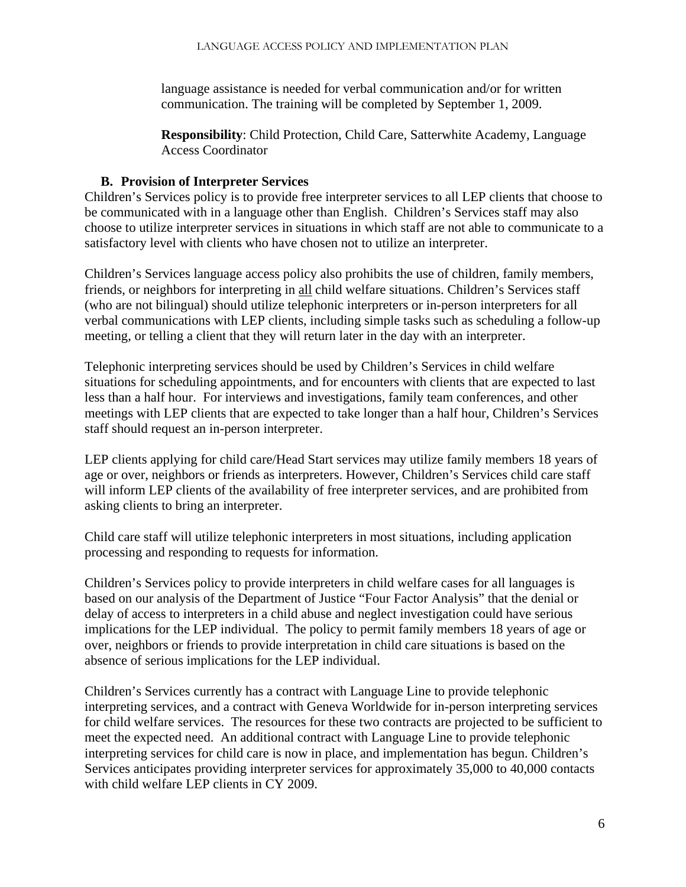language assistance is needed for verbal communication and/or for written communication. The training will be completed by September 1, 2009.

**Responsibility**: Child Protection, Child Care, Satterwhite Academy, Language Access Coordinator

## **B. Provision of Interpreter Services**

Children's Services policy is to provide free interpreter services to all LEP clients that choose to be communicated with in a language other than English. Children's Services staff may also choose to utilize interpreter services in situations in which staff are not able to communicate to a satisfactory level with clients who have chosen not to utilize an interpreter.

Children's Services language access policy also prohibits the use of children, family members, friends, or neighbors for interpreting in all child welfare situations. Children's Services staff (who are not bilingual) should utilize telephonic interpreters or in-person interpreters for all verbal communications with LEP clients, including simple tasks such as scheduling a follow-up meeting, or telling a client that they will return later in the day with an interpreter.

Telephonic interpreting services should be used by Children's Services in child welfare situations for scheduling appointments, and for encounters with clients that are expected to last less than a half hour. For interviews and investigations, family team conferences, and other meetings with LEP clients that are expected to take longer than a half hour, Children's Services staff should request an in-person interpreter.

LEP clients applying for child care/Head Start services may utilize family members 18 years of age or over, neighbors or friends as interpreters. However, Children's Services child care staff will inform LEP clients of the availability of free interpreter services, and are prohibited from asking clients to bring an interpreter.

Child care staff will utilize telephonic interpreters in most situations, including application processing and responding to requests for information.

Children's Services policy to provide interpreters in child welfare cases for all languages is based on our analysis of the Department of Justice "Four Factor Analysis" that the denial or delay of access to interpreters in a child abuse and neglect investigation could have serious implications for the LEP individual. The policy to permit family members 18 years of age or over, neighbors or friends to provide interpretation in child care situations is based on the absence of serious implications for the LEP individual.

Children's Services currently has a contract with Language Line to provide telephonic interpreting services, and a contract with Geneva Worldwide for in-person interpreting services for child welfare services. The resources for these two contracts are projected to be sufficient to meet the expected need. An additional contract with Language Line to provide telephonic interpreting services for child care is now in place, and implementation has begun. Children's Services anticipates providing interpreter services for approximately 35,000 to 40,000 contacts with child welfare LEP clients in CY 2009.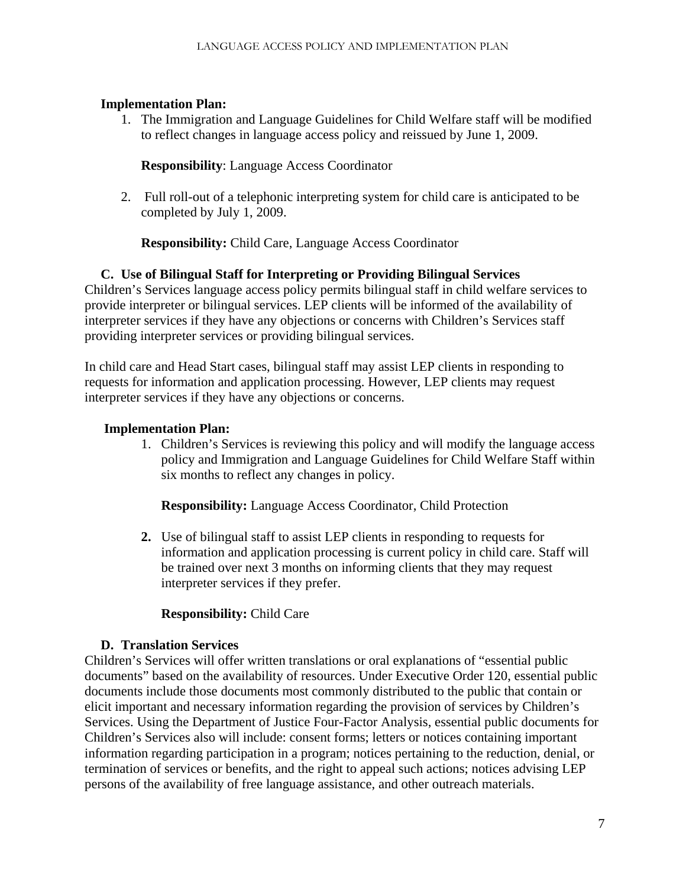1. The Immigration and Language Guidelines for Child Welfare staff will be modified to reflect changes in language access policy and reissued by June 1, 2009.

#### **Responsibility**: Language Access Coordinator

2. Full roll-out of a telephonic interpreting system for child care is anticipated to be completed by July 1, 2009.

**Responsibility:** Child Care, Language Access Coordinator

## **C. Use of Bilingual Staff for Interpreting or Providing Bilingual Services**

Children's Services language access policy permits bilingual staff in child welfare services to provide interpreter or bilingual services. LEP clients will be informed of the availability of interpreter services if they have any objections or concerns with Children's Services staff providing interpreter services or providing bilingual services.

In child care and Head Start cases, bilingual staff may assist LEP clients in responding to requests for information and application processing. However, LEP clients may request interpreter services if they have any objections or concerns.

#### **Implementation Plan:**

1. Children's Services is reviewing this policy and will modify the language access policy and Immigration and Language Guidelines for Child Welfare Staff within six months to reflect any changes in policy.

**Responsibility:** Language Access Coordinator, Child Protection

**2.** Use of bilingual staff to assist LEP clients in responding to requests for information and application processing is current policy in child care. Staff will be trained over next 3 months on informing clients that they may request interpreter services if they prefer.

## **Responsibility:** Child Care

#### **D. Translation Services**

Children's Services will offer written translations or oral explanations of "essential public documents" based on the availability of resources. Under Executive Order 120, essential public documents include those documents most commonly distributed to the public that contain or elicit important and necessary information regarding the provision of services by Children's Services. Using the Department of Justice Four-Factor Analysis, essential public documents for Children's Services also will include: consent forms; letters or notices containing important information regarding participation in a program; notices pertaining to the reduction, denial, or termination of services or benefits, and the right to appeal such actions; notices advising LEP persons of the availability of free language assistance, and other outreach materials.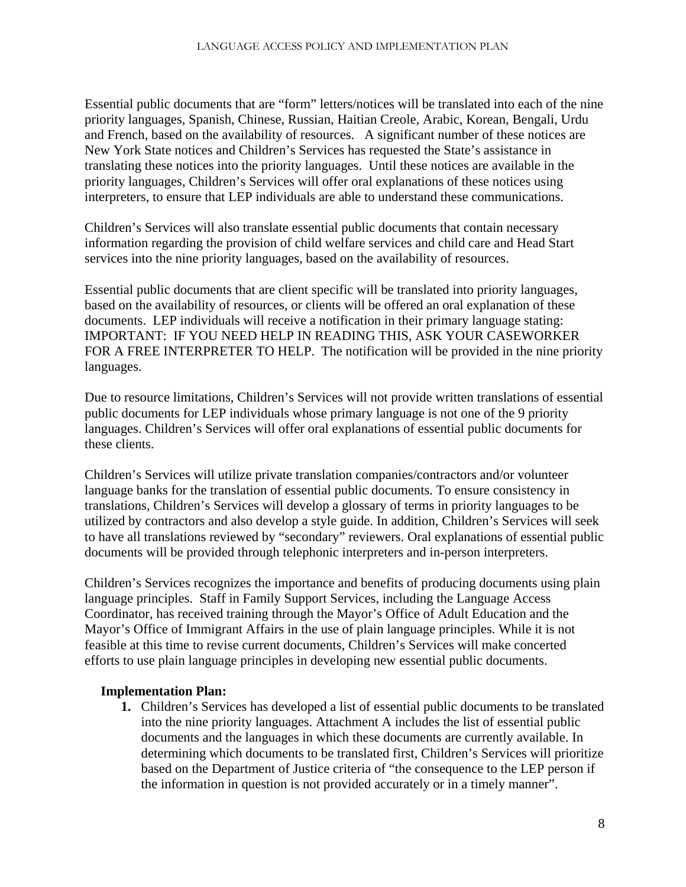Essential public documents that are "form" letters/notices will be translated into each of the nine priority languages, Spanish, Chinese, Russian, Haitian Creole, Arabic, Korean, Bengali, Urdu and French, based on the availability of resources. A significant number of these notices are New York State notices and Children's Services has requested the State's assistance in translating these notices into the priority languages. Until these notices are available in the priority languages, Children's Services will offer oral explanations of these notices using interpreters, to ensure that LEP individuals are able to understand these communications.

Children's Services will also translate essential public documents that contain necessary information regarding the provision of child welfare services and child care and Head Start services into the nine priority languages, based on the availability of resources.

Essential public documents that are client specific will be translated into priority languages, based on the availability of resources, or clients will be offered an oral explanation of these documents. LEP individuals will receive a notification in their primary language stating: IMPORTANT: IF YOU NEED HELP IN READING THIS, ASK YOUR CASEWORKER FOR A FREE INTERPRETER TO HELP. The notification will be provided in the nine priority languages.

Due to resource limitations, Children's Services will not provide written translations of essential public documents for LEP individuals whose primary language is not one of the 9 priority languages. Children's Services will offer oral explanations of essential public documents for these clients.

Children's Services will utilize private translation companies/contractors and/or volunteer language banks for the translation of essential public documents. To ensure consistency in translations, Children's Services will develop a glossary of terms in priority languages to be utilized by contractors and also develop a style guide. In addition, Children's Services will seek to have all translations reviewed by "secondary" reviewers. Oral explanations of essential public documents will be provided through telephonic interpreters and in-person interpreters.

Children's Services recognizes the importance and benefits of producing documents using plain language principles. Staff in Family Support Services, including the Language Access Coordinator, has received training through the Mayor's Office of Adult Education and the Mayor's Office of Immigrant Affairs in the use of plain language principles. While it is not feasible at this time to revise current documents, Children's Services will make concerted efforts to use plain language principles in developing new essential public documents.

## **Implementation Plan:**

**1.** Children's Services has developed a list of essential public documents to be translated into the nine priority languages. Attachment A includes the list of essential public documents and the languages in which these documents are currently available. In determining which documents to be translated first, Children's Services will prioritize based on the Department of Justice criteria of "the consequence to the LEP person if the information in question is not provided accurately or in a timely manner".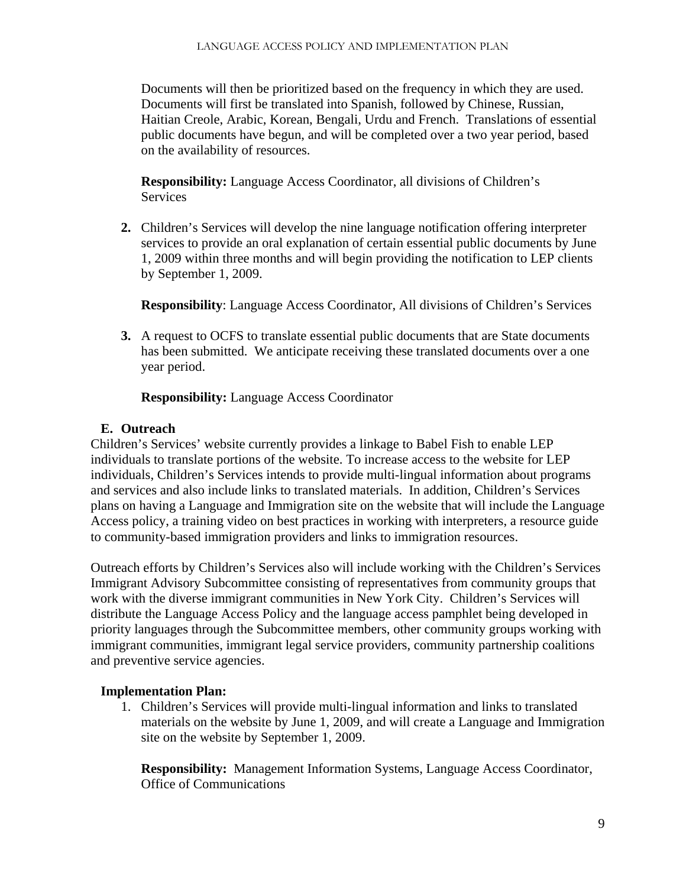Documents will then be prioritized based on the frequency in which they are used. Documents will first be translated into Spanish, followed by Chinese, Russian, Haitian Creole, Arabic, Korean, Bengali, Urdu and French. Translations of essential public documents have begun, and will be completed over a two year period, based on the availability of resources.

**Responsibility:** Language Access Coordinator, all divisions of Children's Services

**2.** Children's Services will develop the nine language notification offering interpreter services to provide an oral explanation of certain essential public documents by June 1, 2009 within three months and will begin providing the notification to LEP clients by September 1, 2009.

**Responsibility**: Language Access Coordinator, All divisions of Children's Services

**3.** A request to OCFS to translate essential public documents that are State documents has been submitted. We anticipate receiving these translated documents over a one year period.

**Responsibility:** Language Access Coordinator

## **E. Outreach**

Children's Services' website currently provides a linkage to Babel Fish to enable LEP individuals to translate portions of the website. To increase access to the website for LEP individuals, Children's Services intends to provide multi-lingual information about programs and services and also include links to translated materials. In addition, Children's Services plans on having a Language and Immigration site on the website that will include the Language Access policy, a training video on best practices in working with interpreters, a resource guide to community-based immigration providers and links to immigration resources.

Outreach efforts by Children's Services also will include working with the Children's Services Immigrant Advisory Subcommittee consisting of representatives from community groups that work with the diverse immigrant communities in New York City. Children's Services will distribute the Language Access Policy and the language access pamphlet being developed in priority languages through the Subcommittee members, other community groups working with immigrant communities, immigrant legal service providers, community partnership coalitions and preventive service agencies.

## **Implementation Plan:**

1. Children's Services will provide multi-lingual information and links to translated materials on the website by June 1, 2009, and will create a Language and Immigration site on the website by September 1, 2009.

**Responsibility:** Management Information Systems, Language Access Coordinator, Office of Communications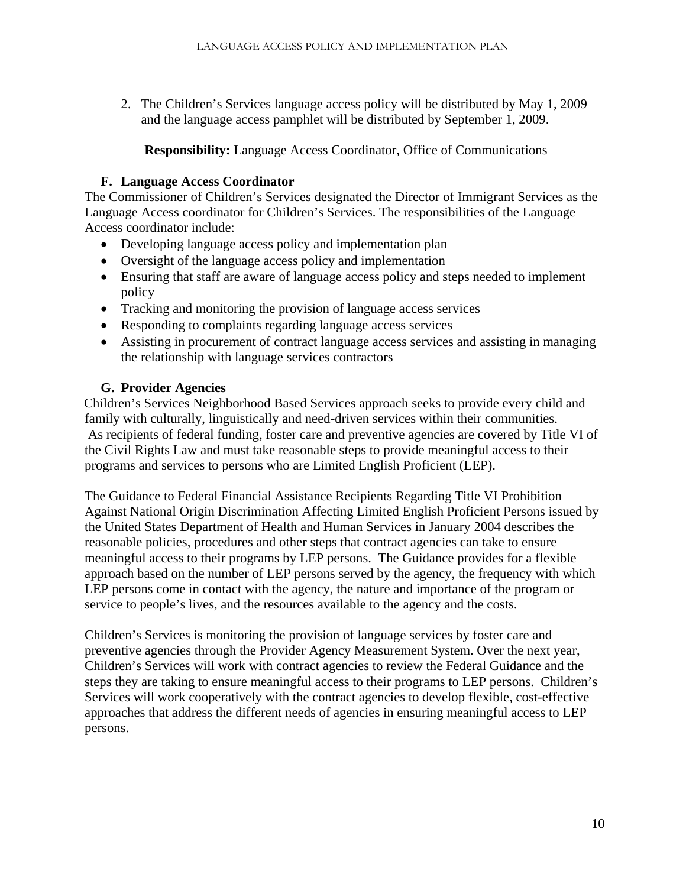2. The Children's Services language access policy will be distributed by May 1, 2009 and the language access pamphlet will be distributed by September 1, 2009.

## **Responsibility:** Language Access Coordinator, Office of Communications

## **F. Language Access Coordinator**

The Commissioner of Children's Services designated the Director of Immigrant Services as the Language Access coordinator for Children's Services. The responsibilities of the Language Access coordinator include:

- Developing language access policy and implementation plan
- Oversight of the language access policy and implementation
- Ensuring that staff are aware of language access policy and steps needed to implement policy
- Tracking and monitoring the provision of language access services
- Responding to complaints regarding language access services
- Assisting in procurement of contract language access services and assisting in managing the relationship with language services contractors

## **G. Provider Agencies**

 Children's Services Neighborhood Based Services approach seeks to provide every child and family with culturally, linguistically and need-driven services within their communities. As recipients of federal funding, foster care and preventive agencies are covered by Title VI of the Civil Rights Law and must take reasonable steps to provide meaningful access to their programs and services to persons who are Limited English Proficient (LEP).

The Guidance to Federal Financial Assistance Recipients Regarding Title VI Prohibition Against National Origin Discrimination Affecting Limited English Proficient Persons issued by the United States Department of Health and Human Services in January 2004 describes the reasonable policies, procedures and other steps that contract agencies can take to ensure meaningful access to their programs by LEP persons. The Guidance provides for a flexible approach based on the number of LEP persons served by the agency, the frequency with which LEP persons come in contact with the agency, the nature and importance of the program or service to people's lives, and the resources available to the agency and the costs.

Children's Services is monitoring the provision of language services by foster care and preventive agencies through the Provider Agency Measurement System. Over the next year, Children's Services will work with contract agencies to review the Federal Guidance and the steps they are taking to ensure meaningful access to their programs to LEP persons. Children's Services will work cooperatively with the contract agencies to develop flexible, cost-effective approaches that address the different needs of agencies in ensuring meaningful access to LEP persons.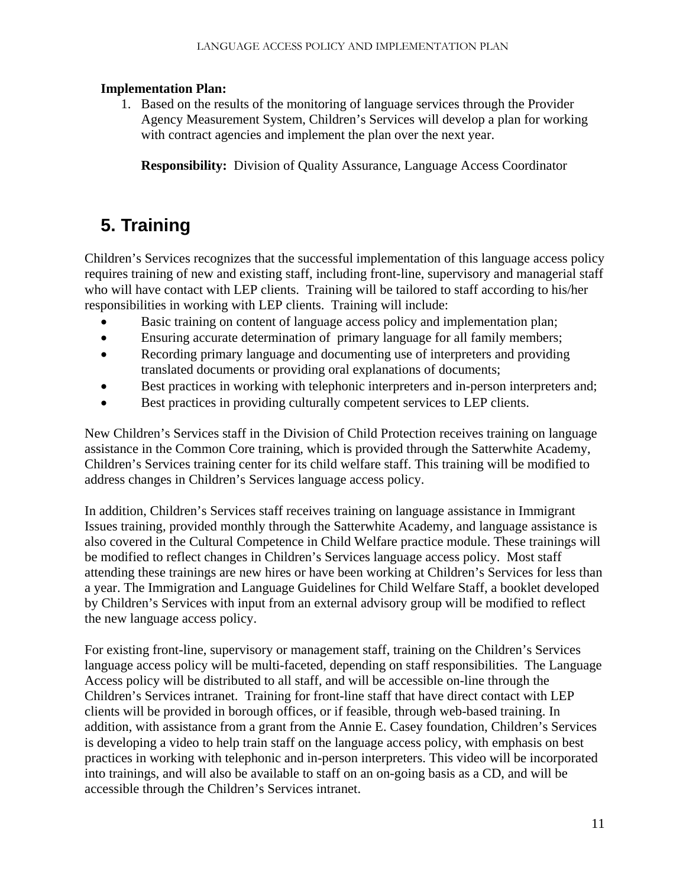1. Based on the results of the monitoring of language services through the Provider Agency Measurement System, Children's Services will develop a plan for working with contract agencies and implement the plan over the next year.

**Responsibility:** Division of Quality Assurance, Language Access Coordinator

# **5. Training**

Children's Services recognizes that the successful implementation of this language access policy requires training of new and existing staff, including front-line, supervisory and managerial staff who will have contact with LEP clients. Training will be tailored to staff according to his/her responsibilities in working with LEP clients. Training will include:

- Basic training on content of language access policy and implementation plan;
- Ensuring accurate determination of primary language for all family members;
- Recording primary language and documenting use of interpreters and providing translated documents or providing oral explanations of documents;
- Best practices in working with telephonic interpreters and in-person interpreters and;
- Best practices in providing culturally competent services to LEP clients.

New Children's Services staff in the Division of Child Protection receives training on language assistance in the Common Core training, which is provided through the Satterwhite Academy, Children's Services training center for its child welfare staff. This training will be modified to address changes in Children's Services language access policy.

In addition, Children's Services staff receives training on language assistance in Immigrant Issues training, provided monthly through the Satterwhite Academy, and language assistance is also covered in the Cultural Competence in Child Welfare practice module. These trainings will be modified to reflect changes in Children's Services language access policy. Most staff attending these trainings are new hires or have been working at Children's Services for less than a year. The Immigration and Language Guidelines for Child Welfare Staff, a booklet developed by Children's Services with input from an external advisory group will be modified to reflect the new language access policy.

For existing front-line, supervisory or management staff, training on the Children's Services language access policy will be multi-faceted, depending on staff responsibilities. The Language Access policy will be distributed to all staff, and will be accessible on-line through the Children's Services intranet. Training for front-line staff that have direct contact with LEP clients will be provided in borough offices, or if feasible, through web-based training. In addition, with assistance from a grant from the Annie E. Casey foundation, Children's Services is developing a video to help train staff on the language access policy, with emphasis on best practices in working with telephonic and in-person interpreters. This video will be incorporated into trainings, and will also be available to staff on an on-going basis as a CD, and will be accessible through the Children's Services intranet.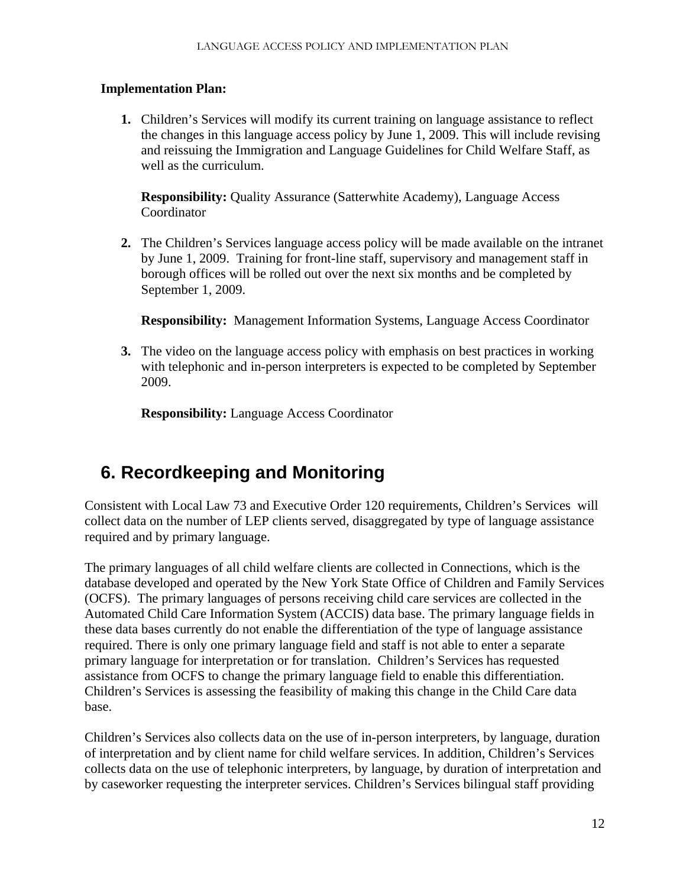**1.** Children's Services will modify its current training on language assistance to reflect the changes in this language access policy by June 1, 2009. This will include revising and reissuing the Immigration and Language Guidelines for Child Welfare Staff, as well as the curriculum.

**Responsibility:** Quality Assurance (Satterwhite Academy), Language Access Coordinator

**2.** The Children's Services language access policy will be made available on the intranet by June 1, 2009. Training for front-line staff, supervisory and management staff in borough offices will be rolled out over the next six months and be completed by September 1, 2009.

**Responsibility:** Management Information Systems, Language Access Coordinator

**3.** The video on the language access policy with emphasis on best practices in working with telephonic and in-person interpreters is expected to be completed by September 2009.

**Responsibility:** Language Access Coordinator

## **6. Recordkeeping and Monitoring**

Consistent with Local Law 73 and Executive Order 120 requirements, Children's Services will collect data on the number of LEP clients served, disaggregated by type of language assistance required and by primary language.

The primary languages of all child welfare clients are collected in Connections, which is the database developed and operated by the New York State Office of Children and Family Services (OCFS). The primary languages of persons receiving child care services are collected in the Automated Child Care Information System (ACCIS) data base. The primary language fields in these data bases currently do not enable the differentiation of the type of language assistance required. There is only one primary language field and staff is not able to enter a separate primary language for interpretation or for translation. Children's Services has requested assistance from OCFS to change the primary language field to enable this differentiation. Children's Services is assessing the feasibility of making this change in the Child Care data base.

Children's Services also collects data on the use of in-person interpreters, by language, duration of interpretation and by client name for child welfare services. In addition, Children's Services collects data on the use of telephonic interpreters, by language, by duration of interpretation and by caseworker requesting the interpreter services. Children's Services bilingual staff providing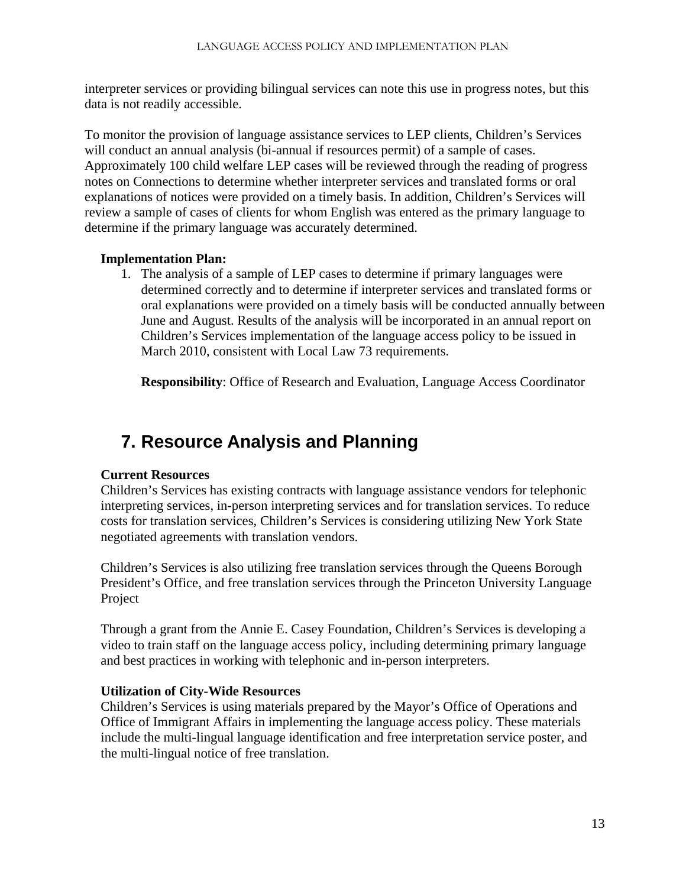interpreter services or providing bilingual services can note this use in progress notes, but this data is not readily accessible.

To monitor the provision of language assistance services to LEP clients, Children's Services will conduct an annual analysis (bi-annual if resources permit) of a sample of cases. Approximately 100 child welfare LEP cases will be reviewed through the reading of progress notes on Connections to determine whether interpreter services and translated forms or oral explanations of notices were provided on a timely basis. In addition, Children's Services will review a sample of cases of clients for whom English was entered as the primary language to determine if the primary language was accurately determined.

## **Implementation Plan:**

1. The analysis of a sample of LEP cases to determine if primary languages were determined correctly and to determine if interpreter services and translated forms or oral explanations were provided on a timely basis will be conducted annually between June and August. Results of the analysis will be incorporated in an annual report on Children's Services implementation of the language access policy to be issued in March 2010, consistent with Local Law 73 requirements.

**Responsibility**: Office of Research and Evaluation, Language Access Coordinator

# **7. Resource Analysis and Planning**

## **Current Resources**

Children's Services has existing contracts with language assistance vendors for telephonic interpreting services, in-person interpreting services and for translation services. To reduce costs for translation services, Children's Services is considering utilizing New York State negotiated agreements with translation vendors.

Children's Services is also utilizing free translation services through the Queens Borough President's Office, and free translation services through the Princeton University Language Project

Through a grant from the Annie E. Casey Foundation, Children's Services is developing a video to train staff on the language access policy, including determining primary language and best practices in working with telephonic and in-person interpreters.

## **Utilization of City-Wide Resources**

Children's Services is using materials prepared by the Mayor's Office of Operations and Office of Immigrant Affairs in implementing the language access policy. These materials include the multi-lingual language identification and free interpretation service poster, and the multi-lingual notice of free translation.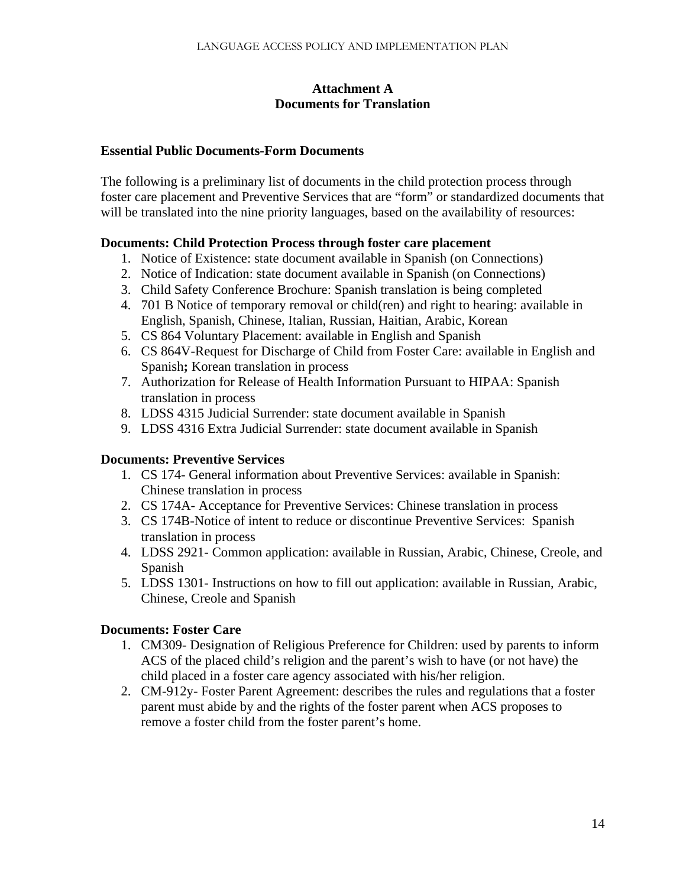#### **Attachment A Documents for Translation**

#### **Essential Public Documents-Form Documents**

The following is a preliminary list of documents in the child protection process through foster care placement and Preventive Services that are "form" or standardized documents that will be translated into the nine priority languages, based on the availability of resources:

## **Documents: Child Protection Process through foster care placement**

- 1. Notice of Existence: state document available in Spanish (on Connections)
- 2. Notice of Indication: state document available in Spanish (on Connections)
- 3. Child Safety Conference Brochure: Spanish translation is being completed
- 4. 701 B Notice of temporary removal or child(ren) and right to hearing: available in English, Spanish, Chinese, Italian, Russian, Haitian, Arabic, Korean
- 5. CS 864 Voluntary Placement: available in English and Spanish
- 6. CS 864V-Request for Discharge of Child from Foster Care: available in English and Spanish**;** Korean translation in process
- 7. Authorization for Release of Health Information Pursuant to HIPAA: Spanish translation in process
- 8. LDSS 4315 Judicial Surrender: state document available in Spanish
- 9. LDSS 4316 Extra Judicial Surrender: state document available in Spanish

## **Documents: Preventive Services**

- 1. CS 174- General information about Preventive Services: available in Spanish: Chinese translation in process
- 2. CS 174A- Acceptance for Preventive Services: Chinese translation in process
- 3. CS 174B-Notice of intent to reduce or discontinue Preventive Services: Spanish translation in process
- 4. LDSS 2921- Common application: available in Russian, Arabic, Chinese, Creole, and Spanish
- 5. LDSS 1301- Instructions on how to fill out application: available in Russian, Arabic, Chinese, Creole and Spanish

#### **Documents: Foster Care**

- 1. CM309- Designation of Religious Preference for Children: used by parents to inform ACS of the placed child's religion and the parent's wish to have (or not have) the child placed in a foster care agency associated with his/her religion.
- 2. CM-912y- Foster Parent Agreement: describes the rules and regulations that a foster parent must abide by and the rights of the foster parent when ACS proposes to remove a foster child from the foster parent's home.